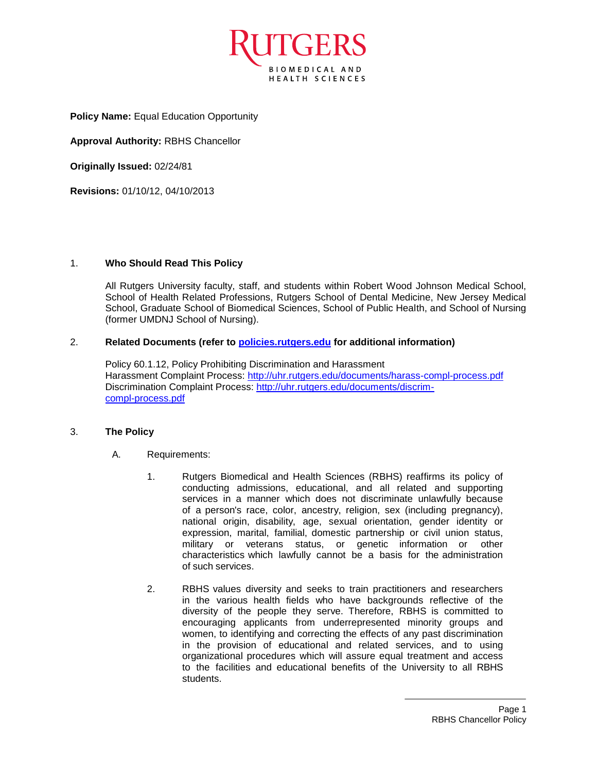

**Policy Name: Equal Education Opportunity** 

**Approval Authority:** RBHS Chancellor

**Originally Issued:** 02/24/81

**Revisions:** 01/10/12, 04/10/2013

## 1. **Who Should Read This Policy**

All Rutgers University faculty, staff, and students within Robert Wood Johnson Medical School, School of Health Related Professions, Rutgers School of Dental Medicine, New Jersey Medical School, Graduate School of Biomedical Sciences, School of Public Health, and School of Nursing (former UMDNJ School of Nursing).

## 2. **Related Documents (refer to [policies.rutgers.edu](file:///C:/Users/rsedlackpr001/Documents/Rutgers/Policies/RBHS%20Policies/policies.rutgers.edu) for additional information)**

Policy 60.1.12, Policy Prohibiting Discrimination and Harassment Harassment Complaint Process:<http://uhr.rutgers.edu/documents/harass-compl-process.pdf> Discrimination Complaint Process: [http://uhr.rutgers.edu/documents/discrim](http://uhr.rutgers.edu/documents/discrim-compl-process.pdf)[compl-process.pdf](http://uhr.rutgers.edu/documents/discrim-compl-process.pdf)

## 3. **The Policy**

- A. Requirements:
	- 1. Rutgers Biomedical and Health Sciences (RBHS) reaffirms its policy of conducting admissions, educational, and all related and supporting services in a manner which does not discriminate unlawfully because of a person's race, color, ancestry, religion, sex (including pregnancy), national origin, disability, age, sexual orientation, gender identity or expression, marital, familial, domestic partnership or civil union status, military or veterans status, or genetic information or other characteristics which lawfully cannot be a basis for the administration of such services.
	- 2. RBHS values diversity and seeks to train practitioners and researchers in the various health fields who have backgrounds reflective of the diversity of the people they serve. Therefore, RBHS is committed to encouraging applicants from underrepresented minority groups and women, to identifying and correcting the effects of any past discrimination in the provision of educational and related services, and to using organizational procedures which will assure equal treatment and access to the facilities and educational benefits of the University to all RBHS students.